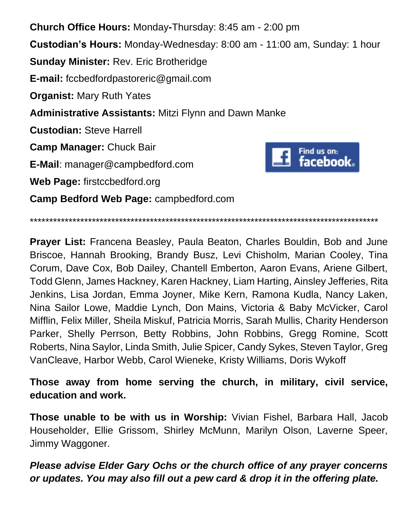**Church Office Hours:** Monday**-**Thursday: 8:45 am - 2:00 pm **Custodian's Hours:** Monday-Wednesday: 8:00 am - 11:00 am, Sunday: 1 hour **Sunday Minister:** Rev. Eric Brotheridge **E-mail:** fccbedfordpastoreric@gmail.com **Organist:** Mary Ruth Yates **Administrative Assistants:** Mitzi Flynn and Dawn Manke **Custodian:** Steve Harrell **Camp Manager:** Chuck Bair Find us on: facebook. **E-Mail**: manager@campbedford.com **Web Page:** firstccbedford.org **Camp Bedford Web Page:** campbedford.com

\*\*\*\*\*\*\*\*\*\*\*\*\*\*\*\*\*\*\*\*\*\*\*\*\*\*\*\*\*\*\*\*\*\*\*\*\*\*\*\*\*\*\*\*\*\*\*\*\*\*\*\*\*\*\*\*\*\*\*\*\*\*\*\*\*\*\*\*\*\*\*\*\*\*\*\*\*\*\*\*\*\*\*\*\*\*\*\*\*\*

**Prayer List:** Francena Beasley, Paula Beaton, Charles Bouldin, Bob and June Briscoe, Hannah Brooking, Brandy Busz, Levi Chisholm, Marian Cooley, Tina Corum, Dave Cox, Bob Dailey, Chantell Emberton, Aaron Evans, Ariene Gilbert, Todd Glenn, James Hackney, Karen Hackney, Liam Harting, Ainsley Jefferies, Rita Jenkins, Lisa Jordan, Emma Joyner, Mike Kern, Ramona Kudla, Nancy Laken, Nina Sailor Lowe, Maddie Lynch, Don Mains, Victoria & Baby McVicker, Carol Mifflin, Felix Miller, Sheila Miskuf, Patricia Morris, Sarah Mullis, Charity Henderson Parker, Shelly Perrson, Betty Robbins, John Robbins, Gregg Romine, Scott Roberts, Nina Saylor, Linda Smith, Julie Spicer, Candy Sykes, Steven Taylor, Greg VanCleave, Harbor Webb, Carol Wieneke, Kristy Williams, Doris Wykoff

**Those away from home serving the church, in military, civil service, education and work.**

**Those unable to be with us in Worship:** Vivian Fishel, Barbara Hall, Jacob Householder, Ellie Grissom, Shirley McMunn, Marilyn Olson, Laverne Speer, Jimmy Waggoner.

*Please advise Elder Gary Ochs or the church office of any prayer concerns or updates. You may also fill out a pew card & drop it in the offering plate.*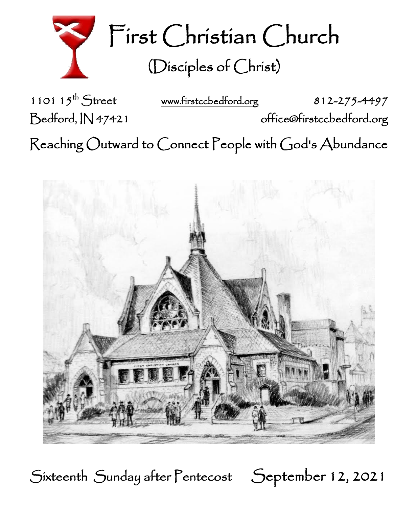

First Christian Church (Disciples of Christ)

1101  $15^{th}$  Street

[www.firstccbedford.org](http://www.firstccbedford.org/) 812-275-4497

Bedford, IN 47421 office@firstccbedford.org

 $\sf Reaching~Outward$  to  $\sf Conrect~People$  with  $\sf God$ 's  $\sf Abundance$ 



Sixteenth Sunday after Pentecost September 12, 2021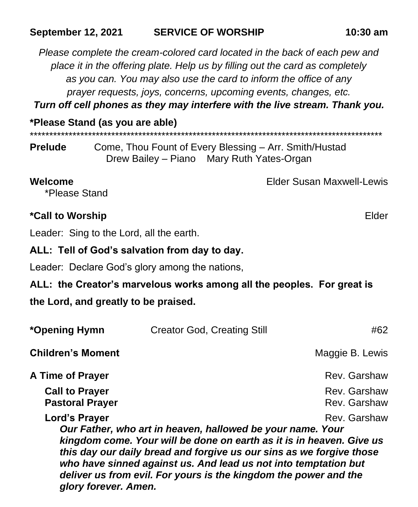## **September 12, 2021 SERVICE OF WORSHIP 10:30 am**

*Please complete the cream-colored card located in the back of each pew and place it in the offering plate. Help us by filling out the card as completely as you can. You may also use the card to inform the office of any prayer requests, joys, concerns, upcoming events, changes, etc.*

*Turn off cell phones as they may interfere with the live stream. Thank you.*

| $\frac{1}{2}$ rease starts (as you are able) |
|----------------------------------------------|
|                                              |
|                                              |

**Prelude** Come, Thou Fount of Every Blessing – Arr. Smith/Hustad Drew Bailey – Piano Mary Ruth Yates-Organ

**Welcome** Elder Susan Maxwell-Lewis \*Please Stand

## **\*Call to Worship** Elder

Leader: Sing to the Lord, all the earth.

**\*Please Stand (as you are able)**

## **ALL: Tell of God's salvation from day to day.**

Leader: Declare God's glory among the nations,

**ALL: the Creator's marvelous works among all the peoples. For great is** 

## **the Lord, and greatly to be praised.**

*glory forever. Amen.*

| *Opening Hymn                                   | <b>Creator God, Creating Still</b>                                                                                                                                                                                                                                                                                                                | #62                          |
|-------------------------------------------------|---------------------------------------------------------------------------------------------------------------------------------------------------------------------------------------------------------------------------------------------------------------------------------------------------------------------------------------------------|------------------------------|
| <b>Children's Moment</b>                        |                                                                                                                                                                                                                                                                                                                                                   | Maggie B. Lewis              |
| A Time of Prayer                                |                                                                                                                                                                                                                                                                                                                                                   | Rev. Garshaw                 |
| <b>Call to Prayer</b><br><b>Pastoral Prayer</b> |                                                                                                                                                                                                                                                                                                                                                   | Rev. Garshaw<br>Rev. Garshaw |
| Lord's Prayer                                   | Our Father, who art in heaven, hallowed be your name. Your<br>kingdom come. Your will be done on earth as it is in heaven. Give us<br>this day our daily bread and forgive us our sins as we forgive those<br>who have sinned against us. And lead us not into temptation but<br>deliver us from evil. For yours is the kingdom the power and the | Rev. Garshaw                 |